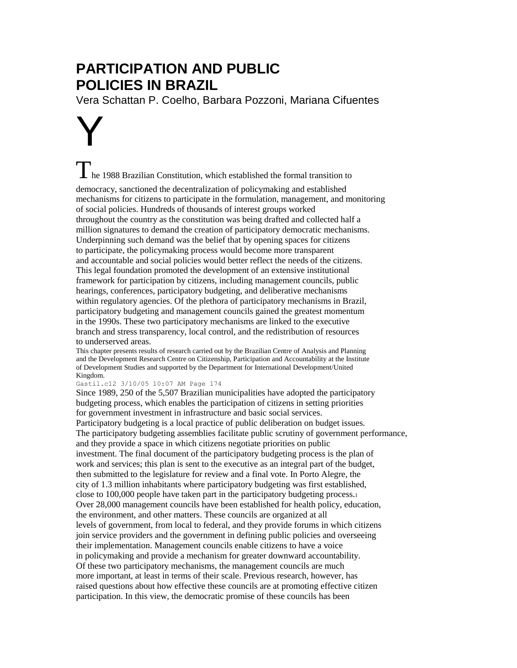## **PARTICIPATION AND PUBLIC POLICIES IN BRAZIL**

Y

Vera Schattan P. Coelho, Barbara Pozzoni, Mariana Cifuentes

# The 1988 Brazilian Constitution, which established the formal transition to

democracy, sanctioned the decentralization of policymaking and established mechanisms for citizens to participate in the formulation, management, and monitoring of social policies. Hundreds of thousands of interest groups worked throughout the country as the constitution was being drafted and collected half a million signatures to demand the creation of participatory democratic mechanisms. Underpinning such demand was the belief that by opening spaces for citizens to participate, the policymaking process would become more transparent and accountable and social policies would better reflect the needs of the citizens. This legal foundation promoted the development of an extensive institutional framework for participation by citizens, including management councils, public hearings, conferences, participatory budgeting, and deliberative mechanisms within regulatory agencies. Of the plethora of participatory mechanisms in Brazil, participatory budgeting and management councils gained the greatest momentum in the 1990s. These two participatory mechanisms are linked to the executive branch and stress transparency, local control, and the redistribution of resources to underserved areas.

This chapter presents results of research carried out by the Brazilian Centre of Analysis and Planning and the Development Research Centre on Citizenship, Participation and Accountability at the Institute of Development Studies and supported by the Department for International Development/United Kingdom.

Gastil.c12 3/10/05 10:07 AM Page 174

Since 1989, 250 of the 5,507 Brazilian municipalities have adopted the participatory budgeting process, which enables the participation of citizens in setting priorities for government investment in infrastructure and basic social services. Participatory budgeting is a local practice of public deliberation on budget issues. The participatory budgeting assemblies facilitate public scrutiny of government performance, and they provide a space in which citizens negotiate priorities on public investment. The final document of the participatory budgeting process is the plan of work and services; this plan is sent to the executive as an integral part of the budget, then submitted to the legislature for review and a final vote. In Porto Alegre, the city of 1.3 million inhabitants where participatory budgeting was first established, close to 100,000 people have taken part in the participatory budgeting process.<sup>1</sup> Over 28,000 management councils have been established for health policy, education, the environment, and other matters. These councils are organized at all levels of government, from local to federal, and they provide forums in which citizens join service providers and the government in defining public policies and overseeing their implementation. Management councils enable citizens to have a voice in policymaking and provide a mechanism for greater downward accountability. Of these two participatory mechanisms, the management councils are much more important, at least in terms of their scale. Previous research, however, has raised questions about how effective these councils are at promoting effective citizen participation. In this view, the democratic promise of these councils has been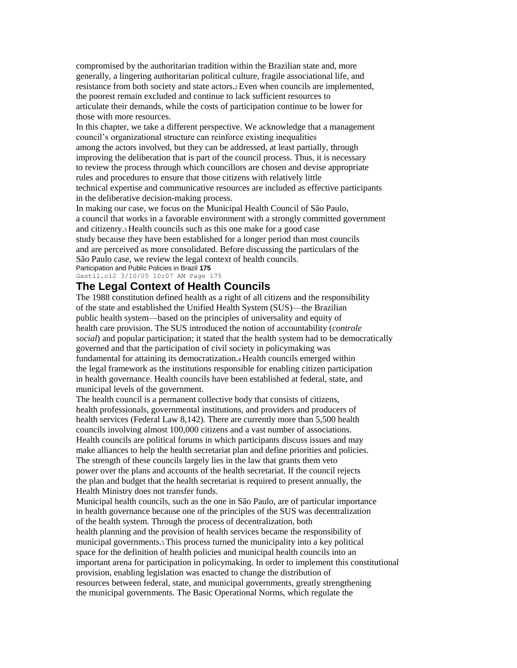compromised by the authoritarian tradition within the Brazilian state and, more generally, a lingering authoritarian political culture, fragile associational life, and resistance from both society and state actors.2 Even when councils are implemented, the poorest remain excluded and continue to lack sufficient resources to articulate their demands, while the costs of participation continue to be lower for those with more resources.

In this chapter, we take a different perspective. We acknowledge that a management council's organizational structure can reinforce existing inequalities among the actors involved, but they can be addressed, at least partially, through improving the deliberation that is part of the council process. Thus, it is necessary to review the process through which councillors are chosen and devise appropriate rules and procedures to ensure that those citizens with relatively little technical expertise and communicative resources are included as effective participants in the deliberative decision-making process.

In making our case, we focus on the Municipal Health Council of São Paulo, a council that works in a favorable environment with a strongly committed government and citizenry.3 Health councils such as this one make for a good case study because they have been established for a longer period than most councils and are perceived as more consolidated. Before discussing the particulars of the São Paulo case, we review the legal context of health councils.

Participation and Public Policies in Brazil **175** Gastil.c12 3/10/05 10:07 AM Page 175

## **The Legal Context of Health Councils**

The 1988 constitution defined health as a right of all citizens and the responsibility of the state and established the Unified Health System (SUS)—the Brazilian public health system—based on the principles of universality and equity of health care provision. The SUS introduced the notion of accountability (*controle social*) and popular participation; it stated that the health system had to be democratically governed and that the participation of civil society in policymaking was fundamental for attaining its democratization.4 Health councils emerged within the legal framework as the institutions responsible for enabling citizen participation in health governance. Health councils have been established at federal, state, and municipal levels of the government.

The health council is a permanent collective body that consists of citizens, health professionals, governmental institutions, and providers and producers of health services (Federal Law 8,142). There are currently more than 5,500 health councils involving almost 100,000 citizens and a vast number of associations. Health councils are political forums in which participants discuss issues and may make alliances to help the health secretariat plan and define priorities and policies. The strength of these councils largely lies in the law that grants them veto power over the plans and accounts of the health secretariat. If the council rejects the plan and budget that the health secretariat is required to present annually, the Health Ministry does not transfer funds.

Municipal health councils, such as the one in São Paulo, are of particular importance in health governance because one of the principles of the SUS was decentralization of the health system. Through the process of decentralization, both health planning and the provision of health services became the responsibility of municipal governments.5 This process turned the municipality into a key political space for the definition of health policies and municipal health councils into an important arena for participation in policymaking. In order to implement this constitutional provision, enabling legislation was enacted to change the distribution of resources between federal, state, and municipal governments, greatly strengthening the municipal governments. The Basic Operational Norms, which regulate the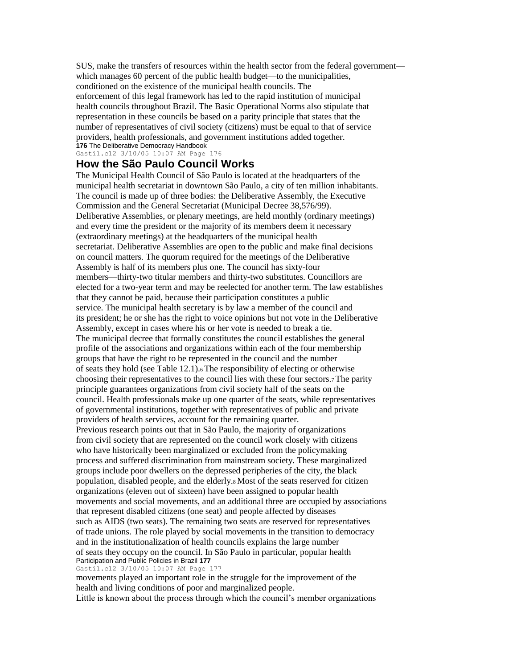SUS, make the transfers of resources within the health sector from the federal government which manages 60 percent of the public health budget—to the municipalities, conditioned on the existence of the municipal health councils. The enforcement of this legal framework has led to the rapid institution of municipal health councils throughout Brazil. The Basic Operational Norms also stipulate that representation in these councils be based on a parity principle that states that the number of representatives of civil society (citizens) must be equal to that of service providers, health professionals, and government institutions added together. **176** The Deliberative Democracy Handbook

Gastil.c12 3/10/05 10:07 AM Page 176

## **How the São Paulo Council Works**

The Municipal Health Council of São Paulo is located at the headquarters of the municipal health secretariat in downtown São Paulo, a city of ten million inhabitants. The council is made up of three bodies: the Deliberative Assembly, the Executive Commission and the General Secretariat (Municipal Decree 38,576/99). Deliberative Assemblies, or plenary meetings, are held monthly (ordinary meetings) and every time the president or the majority of its members deem it necessary (extraordinary meetings) at the headquarters of the municipal health secretariat. Deliberative Assemblies are open to the public and make final decisions on council matters. The quorum required for the meetings of the Deliberative Assembly is half of its members plus one. The council has sixty-four members—thirty-two titular members and thirty-two substitutes. Councillors are elected for a two-year term and may be reelected for another term. The law establishes that they cannot be paid, because their participation constitutes a public service. The municipal health secretary is by law a member of the council and its president; he or she has the right to voice opinions but not vote in the Deliberative Assembly, except in cases where his or her vote is needed to break a tie. The municipal decree that formally constitutes the council establishes the general profile of the associations and organizations within each of the four membership groups that have the right to be represented in the council and the number of seats they hold (see Table 12.1).6 The responsibility of electing or otherwise choosing their representatives to the council lies with these four sectors.7 The parity principle guarantees organizations from civil society half of the seats on the council. Health professionals make up one quarter of the seats, while representatives of governmental institutions, together with representatives of public and private providers of health services, account for the remaining quarter. Previous research points out that in São Paulo, the majority of organizations from civil society that are represented on the council work closely with citizens who have historically been marginalized or excluded from the policymaking process and suffered discrimination from mainstream society. These marginalized groups include poor dwellers on the depressed peripheries of the city, the black population, disabled people, and the elderly.8 Most of the seats reserved for citizen organizations (eleven out of sixteen) have been assigned to popular health movements and social movements, and an additional three are occupied by associations that represent disabled citizens (one seat) and people affected by diseases such as AIDS (two seats). The remaining two seats are reserved for representatives of trade unions. The role played by social movements in the transition to democracy and in the institutionalization of health councils explains the large number of seats they occupy on the council. In São Paulo in particular, popular health Participation and Public Policies in Brazil **177** Gastil.c12 3/10/05 10:07 AM Page 177

movements played an important role in the struggle for the improvement of the health and living conditions of poor and marginalized people.

Little is known about the process through which the council's member organizations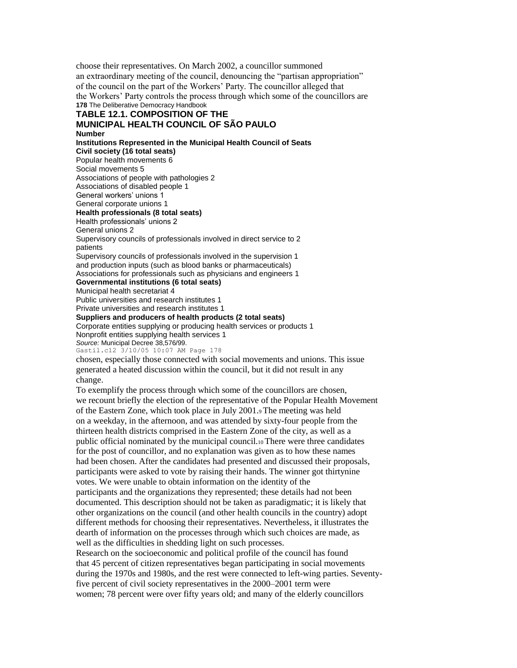choose their representatives. On March 2002, a councillor summoned an extraordinary meeting of the council, denouncing the "partisan appropriation" of the council on the part of the Workers' Party. The councillor alleged that the Workers' Party controls the process through which some of the councillors are **178** The Deliberative Democracy Handbook **TABLE 12.1. COMPOSITION OF THE MUNICIPAL HEALTH COUNCIL OF SÃO PAULO Number Institutions Represented in the Municipal Health Council of Seats Civil society (16 total seats)** Popular health movements 6 Social movements 5 Associations of people with pathologies 2 Associations of disabled people 1 General workers' unions 1 General corporate unions 1 **Health professionals (8 total seats)** Health professionals' unions 2 General unions 2 Supervisory councils of professionals involved in direct service to 2 patients Supervisory councils of professionals involved in the supervision 1 and production inputs (such as blood banks or pharmaceuticals) Associations for professionals such as physicians and engineers 1 **Governmental institutions (6 total seats)** Municipal health secretariat 4 Public universities and research institutes 1 Private universities and research institutes 1 **Suppliers and producers of health products (2 total seats)** Corporate entities supplying or producing health services or products 1 Nonprofit entities supplying health services 1 *Source:* Municipal Decree 38,576/99. Gastil.c12 3/10/05 10:07 AM Page 178 chosen, especially those connected with social movements and unions. This issue generated a heated discussion within the council, but it did not result in any change.

To exemplify the process through which some of the councillors are chosen, we recount briefly the election of the representative of the Popular Health Movement of the Eastern Zone, which took place in July 2001.9 The meeting was held on a weekday, in the afternoon, and was attended by sixty-four people from the thirteen health districts comprised in the Eastern Zone of the city, as well as a public official nominated by the municipal council.10 There were three candidates for the post of councillor, and no explanation was given as to how these names had been chosen. After the candidates had presented and discussed their proposals, participants were asked to vote by raising their hands. The winner got thirtynine votes. We were unable to obtain information on the identity of the participants and the organizations they represented; these details had not been documented. This description should not be taken as paradigmatic; it is likely that other organizations on the council (and other health councils in the country) adopt different methods for choosing their representatives. Nevertheless, it illustrates the dearth of information on the processes through which such choices are made, as well as the difficulties in shedding light on such processes.

Research on the socioeconomic and political profile of the council has found that 45 percent of citizen representatives began participating in social movements during the 1970s and 1980s, and the rest were connected to left-wing parties. Seventyfive percent of civil society representatives in the 2000–2001 term were women; 78 percent were over fifty years old; and many of the elderly councillors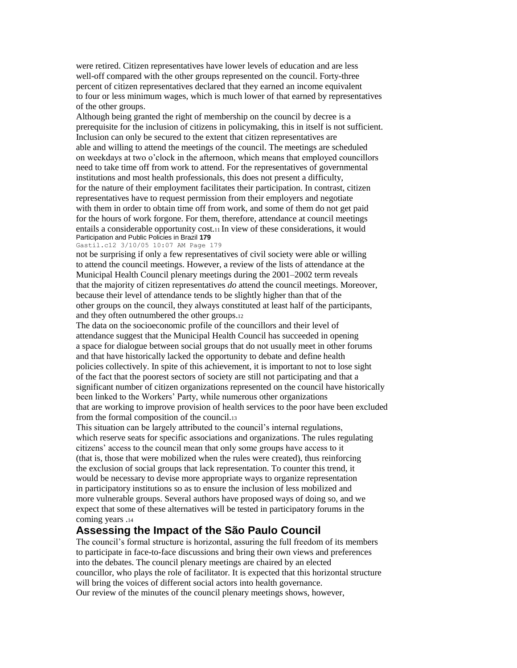were retired. Citizen representatives have lower levels of education and are less well-off compared with the other groups represented on the council. Forty-three percent of citizen representatives declared that they earned an income equivalent to four or less minimum wages, which is much lower of that earned by representatives of the other groups.

Although being granted the right of membership on the council by decree is a prerequisite for the inclusion of citizens in policymaking, this in itself is not sufficient. Inclusion can only be secured to the extent that citizen representatives are able and willing to attend the meetings of the council. The meetings are scheduled on weekdays at two o'clock in the afternoon, which means that employed councillors need to take time off from work to attend. For the representatives of governmental institutions and most health professionals, this does not present a difficulty, for the nature of their employment facilitates their participation. In contrast, citizen representatives have to request permission from their employers and negotiate with them in order to obtain time off from work, and some of them do not get paid for the hours of work forgone. For them, therefore, attendance at council meetings entails a considerable opportunity cost.11 In view of these considerations, it would Participation and Public Policies in Brazil **179**

#### Gastil.c12 3/10/05 10:07 AM Page 179

not be surprising if only a few representatives of civil society were able or willing to attend the council meetings. However, a review of the lists of attendance at the Municipal Health Council plenary meetings during the 2001–2002 term reveals that the majority of citizen representatives *do* attend the council meetings. Moreover, because their level of attendance tends to be slightly higher than that of the other groups on the council, they always constituted at least half of the participants, and they often outnumbered the other groups.<sup>12</sup>

The data on the socioeconomic profile of the councillors and their level of attendance suggest that the Municipal Health Council has succeeded in opening a space for dialogue between social groups that do not usually meet in other forums and that have historically lacked the opportunity to debate and define health policies collectively. In spite of this achievement, it is important to not to lose sight of the fact that the poorest sectors of society are still not participating and that a significant number of citizen organizations represented on the council have historically been linked to the Workers' Party, while numerous other organizations that are working to improve provision of health services to the poor have been excluded from the formal composition of the council.<sup>13</sup>

This situation can be largely attributed to the council's internal regulations, which reserve seats for specific associations and organizations. The rules regulating citizens' access to the council mean that only some groups have access to it (that is, those that were mobilized when the rules were created), thus reinforcing the exclusion of social groups that lack representation. To counter this trend, it would be necessary to devise more appropriate ways to organize representation in participatory institutions so as to ensure the inclusion of less mobilized and more vulnerable groups. Several authors have proposed ways of doing so, and we expect that some of these alternatives will be tested in participatory forums in the coming years .<sup>14</sup>

### **Assessing the Impact of the São Paulo Council**

The council's formal structure is horizontal, assuring the full freedom of its members to participate in face-to-face discussions and bring their own views and preferences into the debates. The council plenary meetings are chaired by an elected councillor, who plays the role of facilitator. It is expected that this horizontal structure will bring the voices of different social actors into health governance. Our review of the minutes of the council plenary meetings shows, however,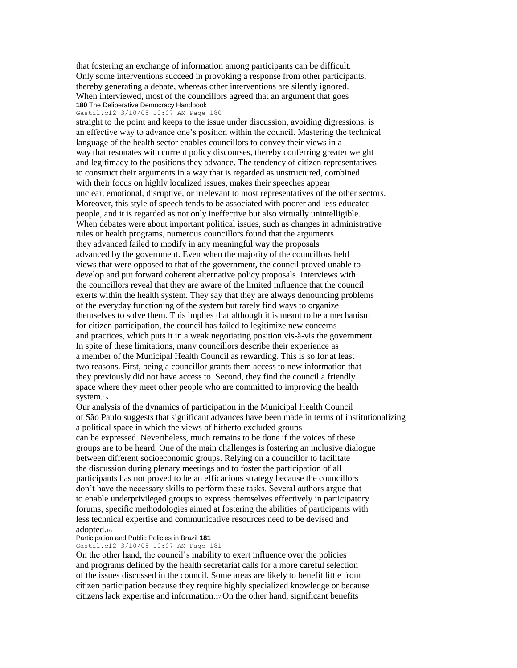that fostering an exchange of information among participants can be difficult. Only some interventions succeed in provoking a response from other participants, thereby generating a debate, whereas other interventions are silently ignored. When interviewed, most of the councillors agreed that an argument that goes **180** The Deliberative Democracy Handbook

#### Gastil.c12 3/10/05 10:07 AM Page 180

straight to the point and keeps to the issue under discussion, avoiding digressions, is an effective way to advance one's position within the council. Mastering the technical language of the health sector enables councillors to convey their views in a way that resonates with current policy discourses, thereby conferring greater weight and legitimacy to the positions they advance. The tendency of citizen representatives to construct their arguments in a way that is regarded as unstructured, combined with their focus on highly localized issues, makes their speeches appear unclear, emotional, disruptive, or irrelevant to most representatives of the other sectors. Moreover, this style of speech tends to be associated with poorer and less educated people, and it is regarded as not only ineffective but also virtually unintelligible. When debates were about important political issues, such as changes in administrative rules or health programs, numerous councillors found that the arguments they advanced failed to modify in any meaningful way the proposals advanced by the government. Even when the majority of the councillors held views that were opposed to that of the government, the council proved unable to develop and put forward coherent alternative policy proposals. Interviews with the councillors reveal that they are aware of the limited influence that the council exerts within the health system. They say that they are always denouncing problems of the everyday functioning of the system but rarely find ways to organize themselves to solve them. This implies that although it is meant to be a mechanism for citizen participation, the council has failed to legitimize new concerns and practices, which puts it in a weak negotiating position vis-à-vis the government. In spite of these limitations, many councillors describe their experience as a member of the Municipal Health Council as rewarding. This is so for at least two reasons. First, being a councillor grants them access to new information that they previously did not have access to. Second, they find the council a friendly space where they meet other people who are committed to improving the health system.<sup>15</sup>

Our analysis of the dynamics of participation in the Municipal Health Council of São Paulo suggests that significant advances have been made in terms of institutionalizing a political space in which the views of hitherto excluded groups can be expressed. Nevertheless, much remains to be done if the voices of these groups are to be heard. One of the main challenges is fostering an inclusive dialogue between different socioeconomic groups. Relying on a councillor to facilitate the discussion during plenary meetings and to foster the participation of all participants has not proved to be an efficacious strategy because the councillors don't have the necessary skills to perform these tasks. Several authors argue that to enable underprivileged groups to express themselves effectively in participatory forums, specific methodologies aimed at fostering the abilities of participants with less technical expertise and communicative resources need to be devised and adopted.<sup>16</sup>

#### Participation and Public Policies in Brazil **181**

#### Gastil.c12 3/10/05 10:07 AM Page 181 On the other hand, the council's inability to exert influence over the policies

and programs defined by the health secretariat calls for a more careful selection of the issues discussed in the council. Some areas are likely to benefit little from citizen participation because they require highly specialized knowledge or because citizens lack expertise and information.17 On the other hand, significant benefits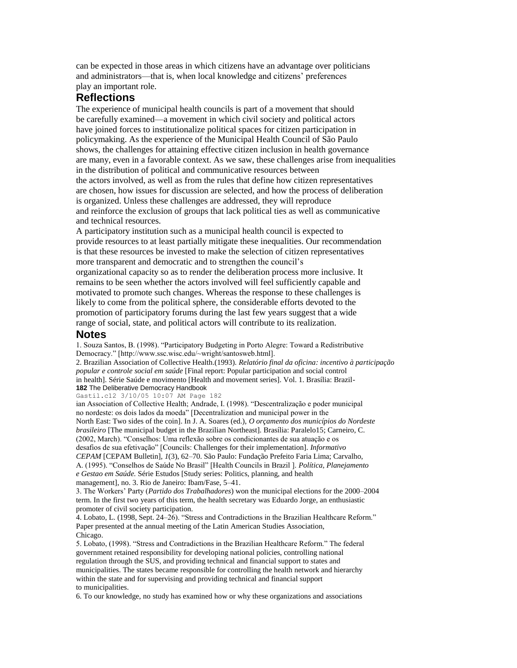can be expected in those areas in which citizens have an advantage over politicians and administrators—that is, when local knowledge and citizens' preferences play an important role.

## **Reflections**

The experience of municipal health councils is part of a movement that should be carefully examined—a movement in which civil society and political actors have joined forces to institutionalize political spaces for citizen participation in policymaking. As the experience of the Municipal Health Council of São Paulo shows, the challenges for attaining effective citizen inclusion in health governance are many, even in a favorable context. As we saw, these challenges arise from inequalities in the distribution of political and communicative resources between the actors involved, as well as from the rules that define how citizen representatives are chosen, how issues for discussion are selected, and how the process of deliberation is organized. Unless these challenges are addressed, they will reproduce and reinforce the exclusion of groups that lack political ties as well as communicative and technical resources.

A participatory institution such as a municipal health council is expected to provide resources to at least partially mitigate these inequalities. Our recommendation is that these resources be invested to make the selection of citizen representatives more transparent and democratic and to strengthen the council's organizational capacity so as to render the deliberation process more inclusive. It remains to be seen whether the actors involved will feel sufficiently capable and motivated to promote such changes. Whereas the response to these challenges is likely to come from the political sphere, the considerable efforts devoted to the promotion of participatory forums during the last few years suggest that a wide range of social, state, and political actors will contribute to its realization.

#### **Notes**

1. Souza Santos, B. (1998). "Participatory Budgeting in Porto Alegre: Toward a Redistributive Democracy." [http://www.ssc.wisc.edu/~wright/santosweb.html].

2. Brazilian Association of Collective Health.(1993). *Relatório final da oficina: incentivo à participação popular e controle social em saúde* [Final report: Popular participation and social control in health]. Série Saúde e movimento [Health and movement series]. Vol. 1. Brasília: Brazil-**182** The Deliberative Democracy Handbook

Gastil.c12 3/10/05 10:07 AM Page 182

ian Association of Collective Health; Andrade, I. (1998). "Descentralização e poder municipal no nordeste: os dois lados da moeda" [Decentralization and municipal power in the North East: Two sides of the coin]. In J. A. Soares (ed.), *O orçamento dos municípios do Nordeste brasileiro* [The municipal budget in the Brazilian Northeast]. Brasília: Paralelo15; Carneiro, C. (2002, March). ―Conselhos: Uma reflexão sobre os condicionantes de sua atuação e os desafios de sua efetivação‖ [Councils: Challenges for their implementation]. *Informativo CEPAM* [CEPAM Bulletin]*, 1*(3), 62–70. São Paulo: Fundação Prefeito Faria Lima; Carvalho, A. (1995). ―Conselhos de Saúde No Brasil‖ [Health Councils in Brazil ]. *Política, Planejamento e Gestao em Saúde.* Série Estudos [Study series: Politics, planning, and health management], no. 3. Rio de Janeiro: Ibam/Fase, 5–41.

3. The Workers' Party (*Partido dos Trabalhadores*) won the municipal elections for the 2000–2004 term. In the first two years of this term, the health secretary was Eduardo Jorge, an enthusiastic promoter of civil society participation.

4. Lobato, L. (1998, Sept. 24–26). "Stress and Contradictions in the Brazilian Healthcare Reform." Paper presented at the annual meeting of the Latin American Studies Association, Chicago.

5. Lobato, (1998). "Stress and Contradictions in the Brazilian Healthcare Reform." The federal government retained responsibility for developing national policies, controlling national regulation through the SUS, and providing technical and financial support to states and municipalities. The states became responsible for controlling the health network and hierarchy within the state and for supervising and providing technical and financial support to municipalities.

6. To our knowledge, no study has examined how or why these organizations and associations